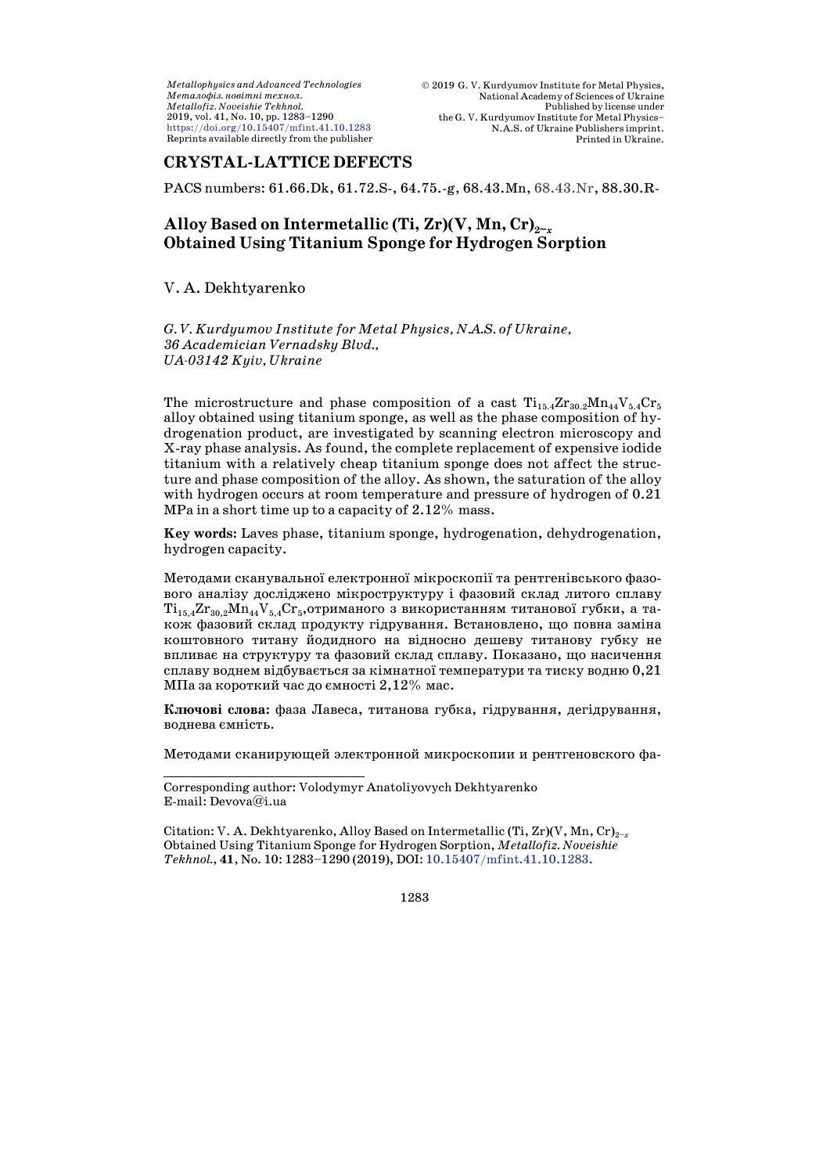## **CRYSTAL-LATTICE DEFECTS**

PACS numbers: 61.66.Dk, 61.72.S-, 64.75.-g, 68.43.Mn, 68.43.Nr, 88.30.R-

# Alloy Based on Intermetallic (Ti,  $\text{Zr}(V, Mn, Cr)_{2-x}$ **Obtained Using Titanium Sponge for Hydrogen Sorption**

## V. A. Dekhtyarenko

*G. V. Kurdyumov Institute for Metal Physics, N.A.S. of Ukraine, 36 Academician Vernadsky Blvd., UA-03142 Kyiv, Ukraine*

The microstructure and phase composition of a cast  $Ti_{15.4}Zr_{30.2}Mn_{44}V_{5.4}Cr_5$ alloy obtained using titanium sponge, as well as the phase composition of hydrogenation product, are investigated by scanning electron microscopy and X-ray phase analysis. As found, the complete replacement of expensive iodide titanium with a relatively cheap titanium sponge does not affect the structure and phase composition of the alloy. As shown, the saturation of the alloy with hydrogen occurs at room temperature and pressure of hydrogen of  $0.21$ MPa in a short time up to a capacity of 2.12% mass.

**Key words:** Laves phase, titanium sponge, hydrogenation, dehydrogenation, hydrogen capacity.

Методами сканувальної електронної мікроскопії та рентгенівського фазового аналізу досліджено мікроструктуру і фазовий склад литого сплаву  $Ti_{15,4}Zr_{30,2}Mn_{44}V_{5,4}Cr_{5}$ ,отриманого з використанням титанової губки, а також фазовий склад продукту гідрування. Встановлено, що повна заміна коштовного титану йодидного на відносно дешеву титанову губку не впливає на структуру та фазовий склад сплаву. Показано, що насичення сплаву воднем відбувається за кімнатної температури та тиску водню 0,21 МПа за короткий час до ємності 2,12% мас.

**Ключові слова:** фаза Лавеса, титанова губка, гідрування, дегідрування, воднева ємність.

Методами сканирующей электронной микроскопии и рентгеновского фа-

Citation: V. A. Dekhtyarenko, Alloy Based on Intermetallic (Ti, Zr)(V, Mn, Cr)2<sup>−</sup>*<sup>x</sup>* Obtained Using Titanium Sponge for Hydrogen Sorption, *Metallofiz. Noveishie Tekhnol.*, **41**, No. 10: 1283–1290 (2019), DOI: [10.15407/mfint.41.10.1283.](https://doi.org/10.15407/mfint.41.10.1283)

Corresponding author: Volodymyr Anatoliyovych Dekhtyarenko E-mail: Devova@i.ua

<sup>1283</sup>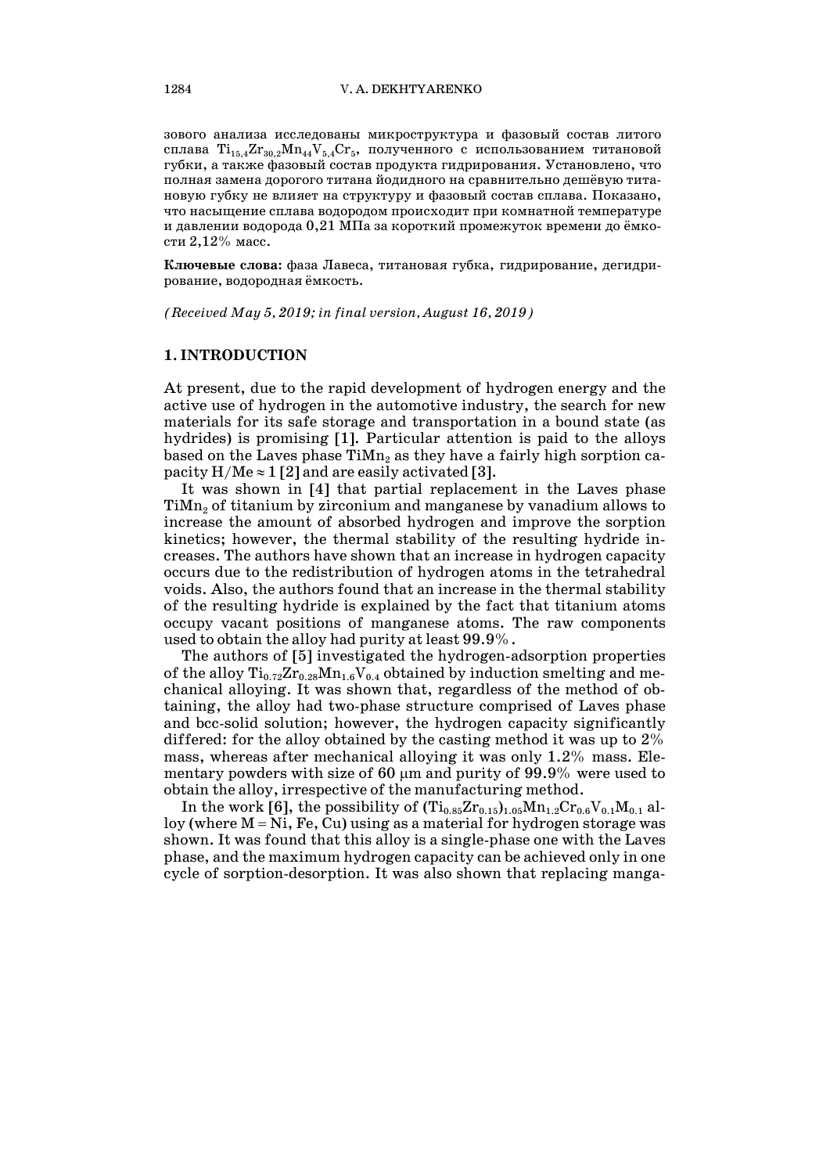зового анализа исследованы микроструктура и фазовый состав литого сплава  $Ti_{15,4}Zr_{30,2}Mn_{44}V_{5,4}Cr_{5}$ , полученного с использованием титановой губки, а также фазовый состав продукта гидрирования. Установлено, что полная замена дорогого титана йодидного на сравнительно дешёвую титановую губку не влияет на структуру и фазовый состав сплава. Показано, что насыщение сплава водородом происходит при комнатной температуре и давлении водорода 0,21 МПа за короткий промежуток времени до ёмкости 2,12% масс.

**Ключевые слова:** фаза Лавеса, титановая губка, гидрирование, дегидрирование, водородная ёмкость.

*(Received May 5, 2019; in final version, August 16, 2019)*

#### **1. INTRODUCTION**

At present, due to the rapid development of hydrogen energy and the active use of hydrogen in the automotive industry, the search for new materials for its safe storage and transportation in a bound state (as hydrides) is promising [1]. Particular attention is paid to the alloys based on the Laves phase  $\text{TiMn}_2$  as they have a fairly high sorption capacity  $H/Me \approx 1$  [2] and are easily activated [3].

It was shown in [4] that partial replacement in the Laves phase  $TiMn<sub>2</sub>$  of titanium by zirconium and manganese by vanadium allows to increase the amount of absorbed hydrogen and improve the sorption kinetics; however, the thermal stability of the resulting hydride increases. The authors have shown that an increase in hydrogen capacity occurs due to the redistribution of hydrogen atoms in the tetrahedral voids. Also, the authors found that an increase in the thermal stability of the resulting hydride is explained by the fact that titanium atoms occupy vacant positions of manganese atoms. The raw components used to obtain the alloy had purity at least 99.9%.

The authors of [5] investigated the hydrogen-adsorption properties of the alloy  $Ti_{0.72}Zr_{0.28}Mn_{1.6}V_{0.4}$  obtained by induction smelting and mechanical alloying. It was shown that, regardless of the method of obtaining, the alloy had two-phase structure comprised of Laves phase and bcc-solid solution; however, the hydrogen capacity significantly differed: for the alloy obtained by the casting method it was up to 2% mass, whereas after mechanical alloying it was only 1.2% mass. Elementary powders with size of 60  $\mu$ m and purity of 99.9% were used to obtain the alloy, irrespective of the manufacturing method.

In the work [6], the possibility of  $(Ti_{0.85}Zr_{0.15})_{1.05}Mn_{1.2}Cr_{0.6}V_{0.1}M_{0.1}$  alloy (where  $M = Ni$ , Fe, Cu) using as a material for hydrogen storage was shown. It was found that this alloy is a single-phase one with the Laves phase, and the maximum hydrogen capacity can be achieved only in one cycle of sorption-desorption. It was also shown that replacing manga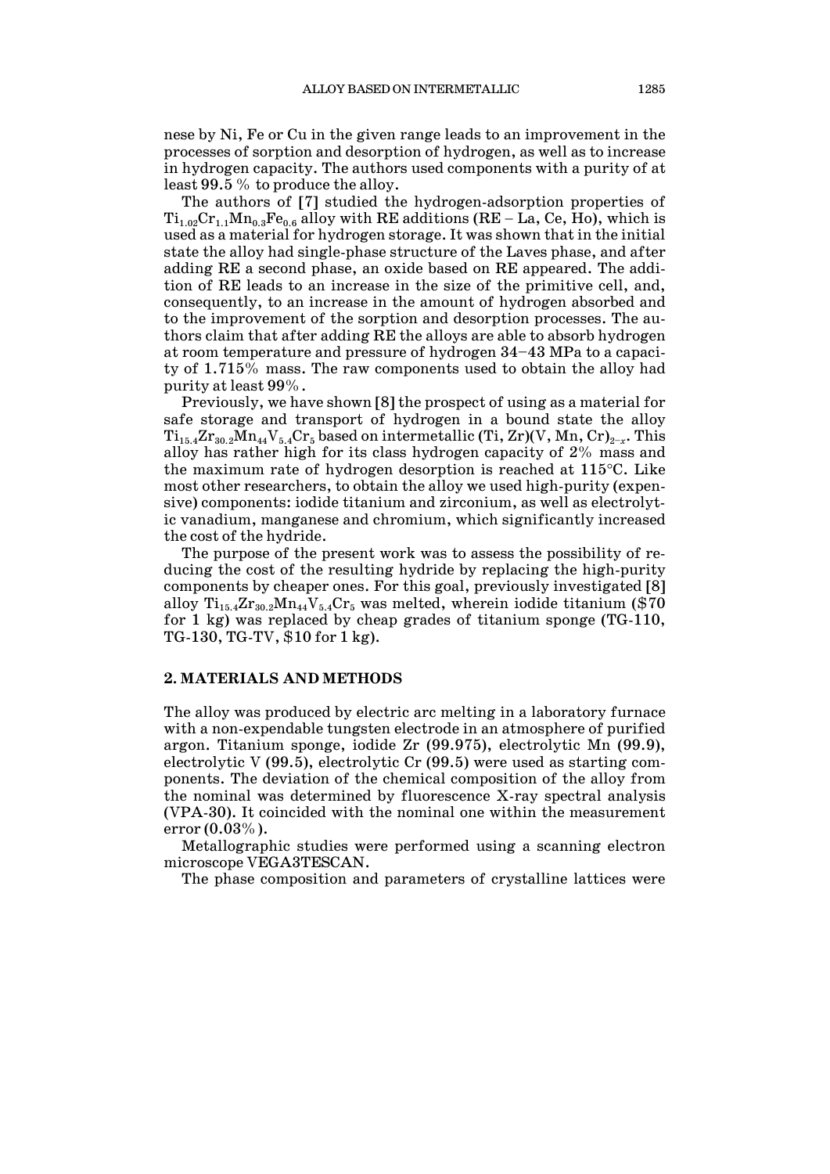nese by Ni, Fe or Cu in the given range leads to an improvement in the processes of sorption and desorption of hydrogen, as well as to increase in hydrogen capacity. The authors used components with a purity of at least 99.5 % to produce the alloy.

The authors of [7] studied the hydrogen-adsorption properties of  $Ti_{1.02}Cr_{1.1}Mn_{0.3}Fe_{0.6}$  alloy with RE additions (RE – La, Ce, Ho), which is used as a material for hydrogen storage. It was shown that in the initial state the alloy had single-phase structure of the Laves phase, and after adding RE a second phase, an oxide based on RE appeared. The addition of RE leads to an increase in the size of the primitive cell, and, consequently, to an increase in the amount of hydrogen absorbed and to the improvement of the sorption and desorption processes. The authors claim that after adding RE the alloys are able to absorb hydrogen at room temperature and pressure of hydrogen 34–43 MPa to a capacity of 1.715% mass. The raw components used to obtain the alloy had purity at least 99%.

Previously, we have shown [8] the prospect of using as a material for safe storage and transport of hydrogen in a bound state the alloy Ti<sub>15.4</sub>Zr<sub>30.2</sub>Mn<sub>44</sub>V<sub>5.4</sub>Cr<sub>5</sub> based on intermetallic (Ti, Zr)(V, Mn, Cr)<sub>2−*x*</sub>. This alloy has rather high for its class hydrogen capacity of 2% mass and the maximum rate of hydrogen desorption is reached at 115°C. Like most other researchers, to obtain the alloy we used high-purity (expensive) components: iodide titanium and zirconium, as well as electrolytic vanadium, manganese and chromium, which significantly increased the cost of the hydride.

The purpose of the present work was to assess the possibility of reducing the cost of the resulting hydride by replacing the high-purity components by cheaper ones. For this goal, previously investigated [8] alloy  $Ti_{15.4}Zr_{30.2}Mn_{44}V_{5.4}Cr_5$  was melted, wherein iodide titanium (\$70 for 1 kg) was replaced by cheap grades of titanium sponge (TG-110, TG-130, TG-TV, \$10 for 1 kg).

## **2. MATERIALS AND METHODS**

The alloy was produced by electric arc melting in a laboratory furnace with a non-expendable tungsten electrode in an atmosphere of purified argon. Titanium sponge, iodide Zr (99.975), electrolytic Mn (99.9), electrolytic V (99.5), electrolytic Cr (99.5) were used as starting components. The deviation of the chemical composition of the alloy from the nominal was determined by fluorescence X-ray spectral analysis (VPA-30). It coincided with the nominal one within the measurement error (0.03%).

Metallographic studies were performed using a scanning electron microscope VEGA3TESCAN.

The phase composition and parameters of crystalline lattices were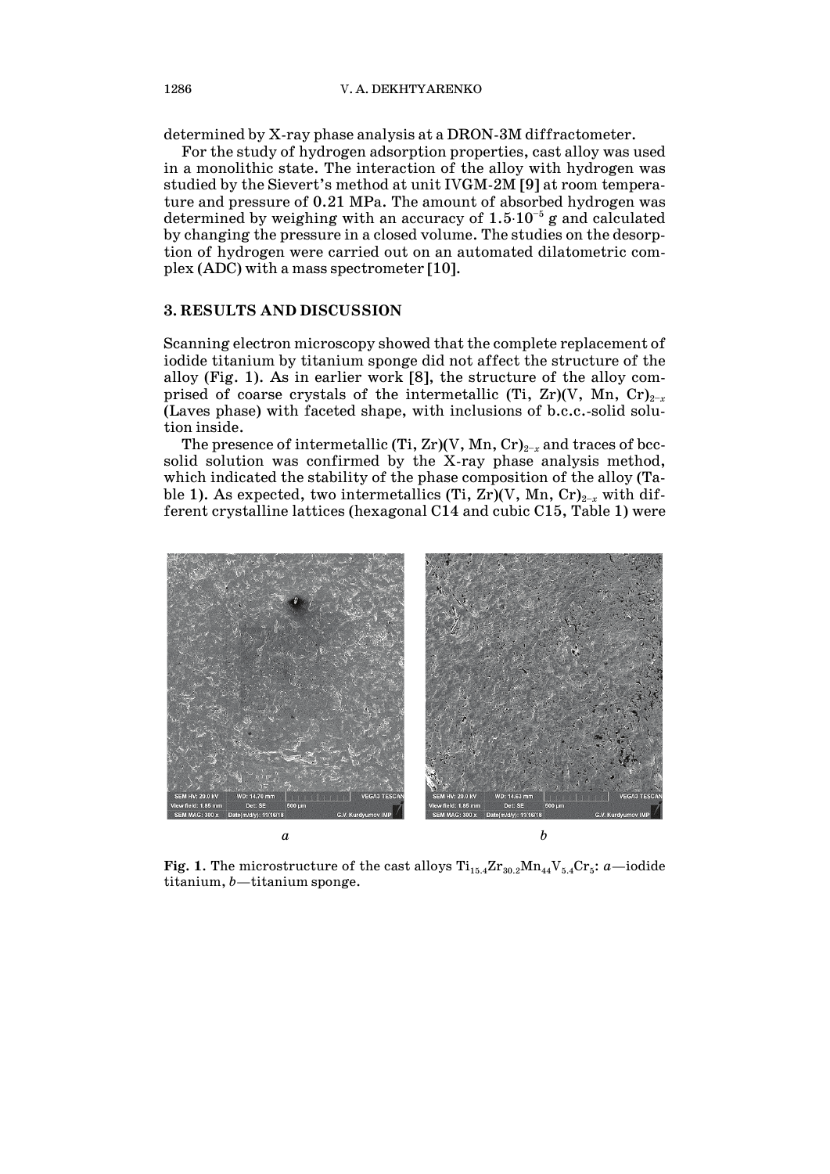determined by X-ray phase analysis at a DRON-3M diffractometer.

For the study of hydrogen adsorption properties, cast alloy was used in a monolithic state. The interaction of the alloy with hydrogen was studied by the Sievert's method at unit IVGM-2M [9] at room temperature and pressure of 0.21 MPa. The amount of absorbed hydrogen was determined by weighing with an accuracy of  $1.5 \cdot 10^{-5}$  g and calculated by changing the pressure in a closed volume. The studies on the desorption of hydrogen were carried out on an automated dilatometric complex (ADC) with a mass spectrometer [10].

### **3. RESULTS AND DISCUSSION**

Scanning electron microscopy showed that the complete replacement of iodide titanium by titanium sponge did not affect the structure of the alloy (Fig. 1). As in earlier work [8], the structure of the alloy comprised of coarse crystals of the intermetallic (Ti, Zr)(V, Mn, Cr)<sub>2-*x*</sub> (Laves phase) with faceted shape, with inclusions of b.c.c.-solid solution inside.

The presence of intermetallic (Ti, Zr)(V, Mn, Cr)<sub>2−*x*</sub> and traces of bccsolid solution was confirmed by the X-ray phase analysis method, which indicated the stability of the phase composition of the alloy (Table 1). As expected, two intermetallics (Ti, Zr)(V, Mn, Cr)<sub>2−*x*</sub> with different crystalline lattices (hexagonal C14 and cubic C15, Table 1) were



**Fig. 1.** The microstructure of the cast alloys  $Ti_{15.4}Zr_{30.2}Mn_{44}V_{5.4}Cr_5$ : *a*—iodide titanium, *b*—titanium sponge.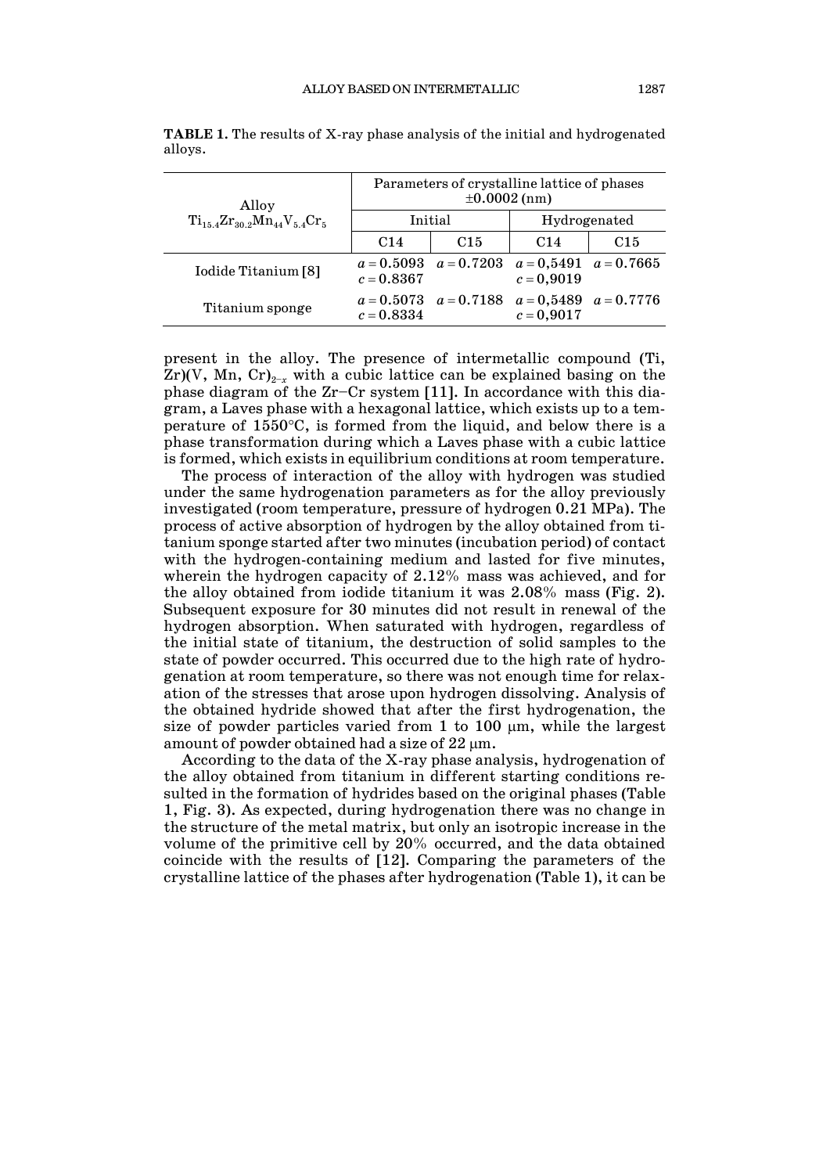| Alloy<br>$Ti_{15.4}Zr_{30.2}Mn_{44}V_{5.4}Cr_{5.4}$ | Parameters of crystalline lattice of phases<br>$\pm 0.0002$ (nm) |                                                     |              |                 |
|-----------------------------------------------------|------------------------------------------------------------------|-----------------------------------------------------|--------------|-----------------|
|                                                     | Initial                                                          |                                                     | Hydrogenated |                 |
|                                                     | C <sub>14</sub>                                                  | C <sub>15</sub>                                     | C14          | C <sub>15</sub> |
| Iodide Titanium [8]                                 | $c = 0.8367$                                                     | $a = 0.5093$ $a = 0.7203$ $a = 0.5491$ $a = 0.7665$ | $c = 0.9019$ |                 |
| Titanium sponge                                     | $c = 0.8334$                                                     | $a = 0.5073$ $a = 0.7188$ $a = 0.5489$ $a = 0.7776$ | $c = 0,9017$ |                 |

**TABLE 1.** The results of X-ray phase analysis of the initial and hydrogenated alloys.

present in the alloy. The presence of intermetallic compound (Ti,  $Zr$ )(V, Mn, Cr)<sub>2−*x*</sub> with a cubic lattice can be explained basing on the phase diagram of the Zr–Cr system [11]. In accordance with this diagram, a Laves phase with a hexagonal lattice, which exists up to a temperature of 1550°C, is formed from the liquid, and below there is a phase transformation during which a Laves phase with a cubic lattice is formed, which exists in equilibrium conditions at room temperature.

The process of interaction of the alloy with hydrogen was studied under the same hydrogenation parameters as for the alloy previously investigated (room temperature, pressure of hydrogen 0.21 MPa). The process of active absorption of hydrogen by the alloy obtained from titanium sponge started after two minutes (incubation period) of contact with the hydrogen-containing medium and lasted for five minutes, wherein the hydrogen capacity of 2.12% mass was achieved, and for the alloy obtained from iodide titanium it was 2.08% mass (Fig. 2). Subsequent exposure for 30 minutes did not result in renewal of the hydrogen absorption. When saturated with hydrogen, regardless of the initial state of titanium, the destruction of solid samples to the state of powder occurred. This occurred due to the high rate of hydrogenation at room temperature, so there was not enough time for relaxation of the stresses that arose upon hydrogen dissolving. Analysis of the obtained hydride showed that after the first hydrogenation, the size of powder particles varied from 1 to 100  $\mu$ m, while the largest amount of powder obtained had a size of  $22 \mu m$ .

According to the data of the X-ray phase analysis, hydrogenation of the alloy obtained from titanium in different starting conditions resulted in the formation of hydrides based on the original phases (Table 1, Fig. 3). As expected, during hydrogenation there was no change in the structure of the metal matrix, but only an isotropic increase in the volume of the primitive cell by 20% occurred, and the data obtained coincide with the results of [12]. Comparing the parameters of the crystalline lattice of the phases after hydrogenation (Table 1), it can be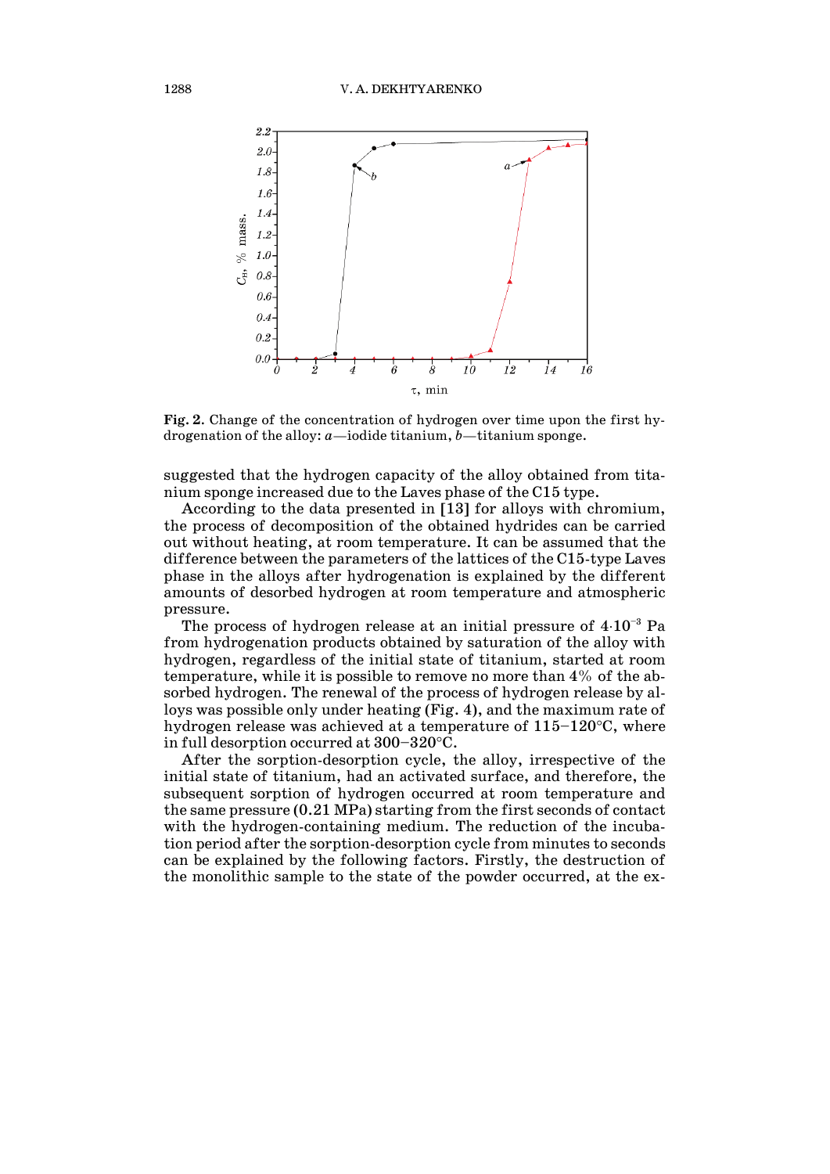

**Fig. 2**. Change of the concentration of hydrogen over time upon the first hydrogenation of the alloy: *a*—iodide titanium, *b*—titanium sponge.

suggested that the hydrogen capacity of the alloy obtained from titanium sponge increased due to the Laves phase of the C15 type.

According to the data presented in [13] for alloys with chromium, the process of decomposition of the obtained hydrides can be carried out without heating, at room temperature. It can be assumed that the difference between the parameters of the lattices of the C15-type Laves phase in the alloys after hydrogenation is explained by the different amounts of desorbed hydrogen at room temperature and atmospheric pressure.

The process of hydrogen release at an initial pressure of  $4·10<sup>-3</sup>$  Pa from hydrogenation products obtained by saturation of the alloy with hydrogen, regardless of the initial state of titanium, started at room temperature, while it is possible to remove no more than 4% of the absorbed hydrogen. The renewal of the process of hydrogen release by alloys was possible only under heating (Fig. 4), and the maximum rate of hydrogen release was achieved at a temperature of 115–120°C, where in full desorption occurred at 300–320°C.

After the sorption-desorption cycle, the alloy, irrespective of the initial state of titanium, had an activated surface, and therefore, the subsequent sorption of hydrogen occurred at room temperature and the same pressure (0.21 MPa) starting from the first seconds of contact with the hydrogen-containing medium. The reduction of the incubation period after the sorption-desorption cycle from minutes to seconds can be explained by the following factors. Firstly, the destruction of the monolithic sample to the state of the powder occurred, at the ex-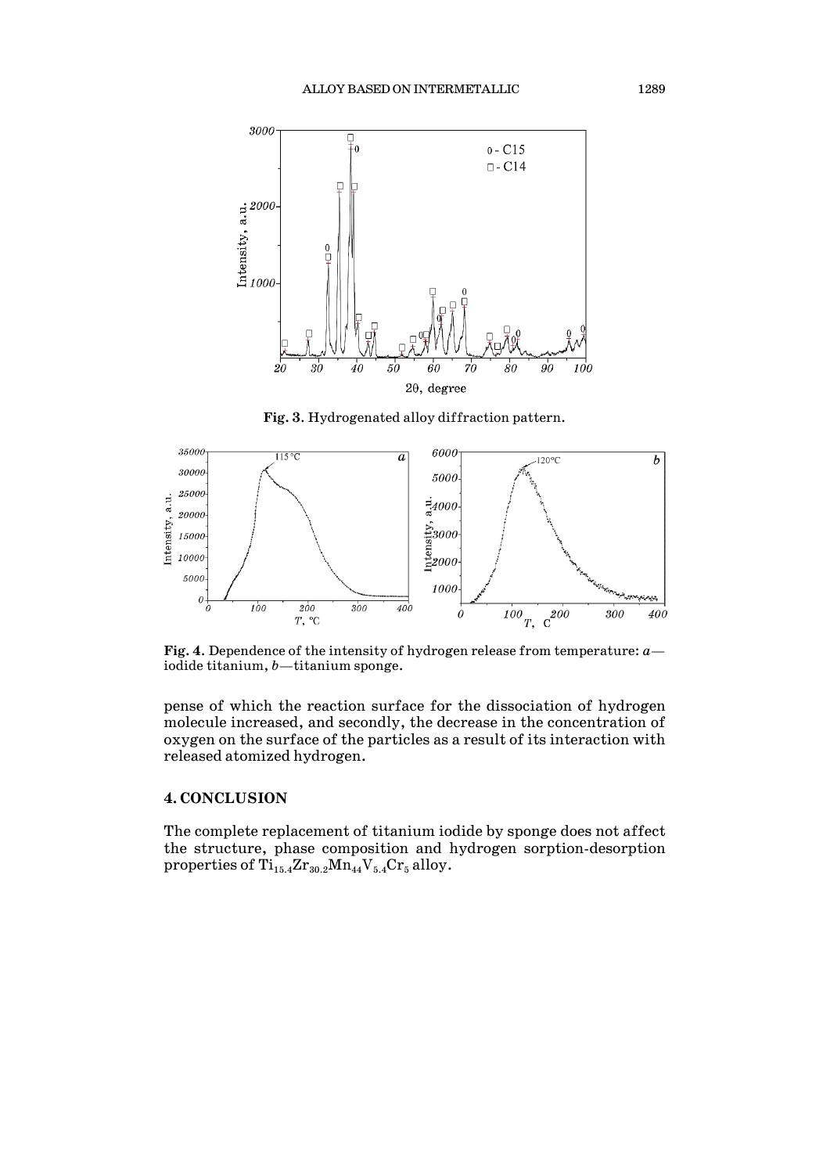

**Fig. 3**. Hydrogenated alloy diffraction pattern.



**Fig. 4**. Dependence of the intensity of hydrogen release from temperature: *a* iodide titanium, *b*—titanium sponge.

pense of which the reaction surface for the dissociation of hydrogen molecule increased, and secondly, the decrease in the concentration of oxygen on the surface of the particles as a result of its interaction with released atomized hydrogen.

#### **4. CONCLUSION**

The complete replacement of titanium iodide by sponge does not affect the structure, phase composition and hydrogen sorption-desorption properties of  $Ti_{15.4}Zr_{30.2}Mn_{44}V_{5.4}Cr_5$  alloy.